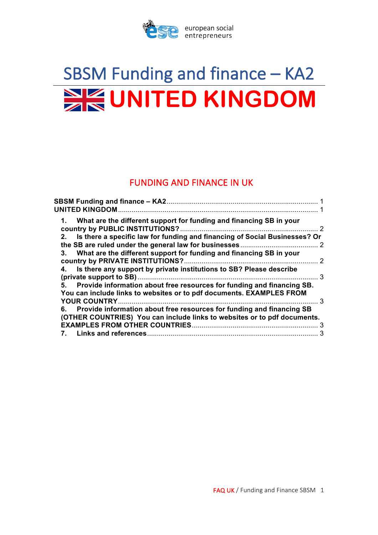

# SBSM Funding and finance – KA2 **EXECUNITED KINGDOM**

# **FUNDING AND FINANCE IN UK**

| 1. What are the different support for funding and financing SB in your                                                                               |   |
|------------------------------------------------------------------------------------------------------------------------------------------------------|---|
| Is there a specific law for funding and financing of Social Businesses? Or<br>$2_{-}$                                                                |   |
| 3. What are the different support for funding and financing SB in your                                                                               |   |
| 4. Is there any support by private institutions to SB? Please describe                                                                               | 3 |
| Provide information about free resources for funding and financing SB.<br>5.<br>You can include links to websites or to pdf documents. EXAMPLES FROM |   |
|                                                                                                                                                      |   |
| 6. Provide information about free resources for funding and financing SB<br>(OTHER COUNTRIES) You can include links to websites or to pdf documents. |   |
|                                                                                                                                                      |   |
| 7.                                                                                                                                                   | 3 |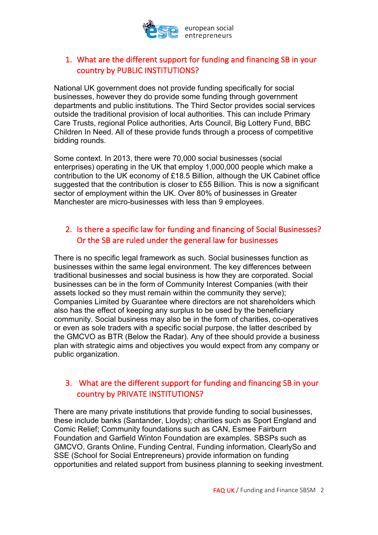

## 1. What are the different support for funding and financing SB in your country by PUBLIC INSTITUTIONS?

National UK government does not provide funding specifically for social businesses, however they do provide some funding through government departments and public institutions. The Third Sector provides social services outside the traditional provision of local authorities. This can include Primary Care Trusts, regional Police authorities, Arts Council, Big Lottery Fund, BBC Children In Need. All of these provide funds through a process of competitive bidding rounds.

Some context. In 2013, there were 70,000 social businesses (social enterprises) operating in the UK that employ 1,000,000 people which make a contribution to the UK economy of £18.5 Billion, although the UK Cabinet office suggested that the contribution is closer to £55 Billion. This is now a significant sector of employment within the UK. Over 80% of businesses in Greater Manchester are micro-businesses with less than 9 employees.

## 2. Is there a specific law for funding and financing of Social Businesses? Or the SB are ruled under the general law for businesses

There is no specific legal framework as such. Social businesses function as businesses within the same legal environment. The key differences between traditional businesses and social business is how they are corporated. Social businesses can be in the form of Community Interest Companies (with their assets locked so they must remain within the community they serve); Companies Limited by Guarantee where directors are not shareholders which also has the effect of keeping any surplus to be used by the beneficiary community. Social business may also be in the form of charities, co-operatives or even as sole traders with a specific social purpose, the latter described by the GMCVO as BTR (Below the Radar). Any of thee should provide a business plan with strategic aims and objectives you would expect from any company or public organization.

#### 3. What are the different support for funding and financing SB in your country by PRIVATE INSTITUTIONS?

There are many private institutions that provide funding to social businesses, these include banks (Santander, Lloyds); charities such as Sport England and Comic Relief; Community foundations such as CAN, Esmee Fairburn Foundation and Garfield Winton Foundation are examples. SBSPs such as GMCVO, Grants Online, Funding Central, Funding information, ClearlySo and SSE (School for Social Entrepreneurs) provide information on funding opportunities and related support from business planning to seeking investment.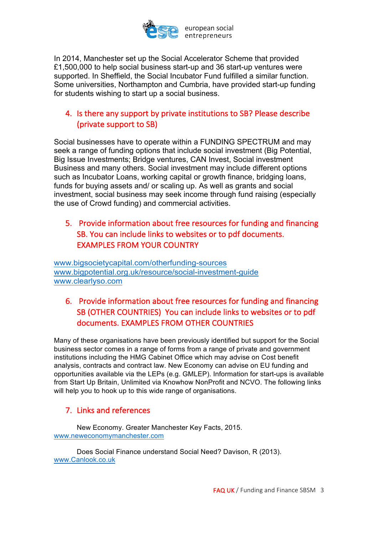

In 2014, Manchester set up the Social Accelerator Scheme that provided £1,500,000 to help social business start-up and 36 start-up ventures were supported. In Sheffield, the Social Incubator Fund fulfilled a similar function. Some universities, Northampton and Cumbria, have provided start-up funding for students wishing to start up a social business.

## 4. Is there any support by private institutions to SB? Please describe (private support to SB)

Social businesses have to operate within a FUNDING SPECTRUM and may seek a range of funding options that include social investment (Big Potential, Big Issue Investments; Bridge ventures, CAN Invest, Social investment Business and many others. Social investment may include different options such as Incubator Loans, working capital or growth finance, bridging loans, funds for buying assets and/ or scaling up. As well as grants and social investment, social business may seek income through fund raising (especially the use of Crowd funding) and commercial activities.

## 5. Provide information about free resources for funding and financing SB. You can include links to websites or to pdf documents. **EXAMPLES FROM YOUR COUNTRY**

www.bigsocietycapital.com/otherfunding-sources www.bigpotential.org.uk/resource/social-investment-guide www.clearlyso.com

# 6. Provide information about free resources for funding and financing SB (OTHER COUNTRIES) You can include links to websites or to pdf documents. EXAMPLES FROM OTHER COUNTRIES

Many of these organisations have been previously identified but support for the Social business sector comes in a range of forms from a range of private and government institutions including the HMG Cabinet Office which may advise on Cost benefit analysis, contracts and contract law. New Economy can advise on EU funding and opportunities available via the LEPs (e.g. GMLEP). Information for start-ups is available from Start Up Britain, Unlimited via Knowhow NonProfit and NCVO. The following links will help you to hook up to this wide range of organisations.

## 7. Links and references

New Economy. Greater Manchester Key Facts, 2015. www.neweconomymanchester.com

Does Social Finance understand Social Need? Davison, R (2013). www.Canlook.co.uk